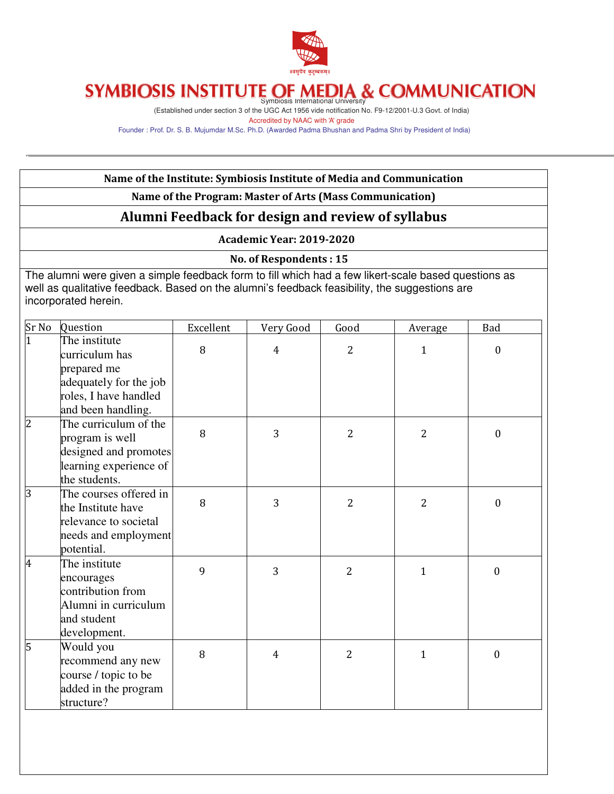

# Symbiosis International University

(Established under section 3 of the UGC Act 1956 vide notification No. F9-12/2001-U.3 Govt. of India) Accredited by NAAC with 'A' grade

Founder : Prof. Dr. S. B. Mujumdar M.Sc. Ph.D. (Awarded Padma Bhushan and Padma Shri by President of India)

|       |                                                                                                                                                                                                                               | Name of the Institute: Symbiosis Institute of Media and Communication |                                 |                |                |                  |
|-------|-------------------------------------------------------------------------------------------------------------------------------------------------------------------------------------------------------------------------------|-----------------------------------------------------------------------|---------------------------------|----------------|----------------|------------------|
|       |                                                                                                                                                                                                                               | Name of the Program: Master of Arts (Mass Communication)              |                                 |                |                |                  |
|       |                                                                                                                                                                                                                               | Alumni Feedback for design and review of syllabus                     |                                 |                |                |                  |
|       |                                                                                                                                                                                                                               |                                                                       | <b>Academic Year: 2019-2020</b> |                |                |                  |
|       |                                                                                                                                                                                                                               |                                                                       | No. of Respondents: 15          |                |                |                  |
|       | The alumni were given a simple feedback form to fill which had a few likert-scale based questions as<br>well as qualitative feedback. Based on the alumni's feedback feasibility, the suggestions are<br>incorporated herein. |                                                                       |                                 |                |                |                  |
| Sr No | Question                                                                                                                                                                                                                      | Excellent                                                             | Very Good                       | Good           | Average        | Bad              |
|       | The institute<br>curriculum has<br>prepared me<br>adequately for the job<br>roles, I have handled<br>and been handling.                                                                                                       | 8                                                                     | $\overline{4}$                  | $\overline{2}$ | 1              | 0                |
|       | The curriculum of the<br>program is well<br>designed and promotes<br>learning experience of<br>the students.                                                                                                                  | 8                                                                     | 3                               | $\overline{2}$ | $\overline{2}$ | $\mathbf{0}$     |
|       | The courses offered in<br>the Institute have<br>relevance to societal<br>needs and employment<br>potential.                                                                                                                   | 8                                                                     | 3                               | 2              | $\overline{2}$ | $\boldsymbol{0}$ |
| 4     | The institute<br>encourages<br>contribution from<br>Alumni in curriculum<br>and student<br>development.                                                                                                                       | 9                                                                     | 3                               | $\overline{2}$ | 1              | $\boldsymbol{0}$ |
| 5     | Would you<br>recommend any new<br>course / topic to be<br>added in the program<br>structure?                                                                                                                                  | 8                                                                     | $\overline{4}$                  | $\overline{2}$ | $\mathbf{1}$   | $\boldsymbol{0}$ |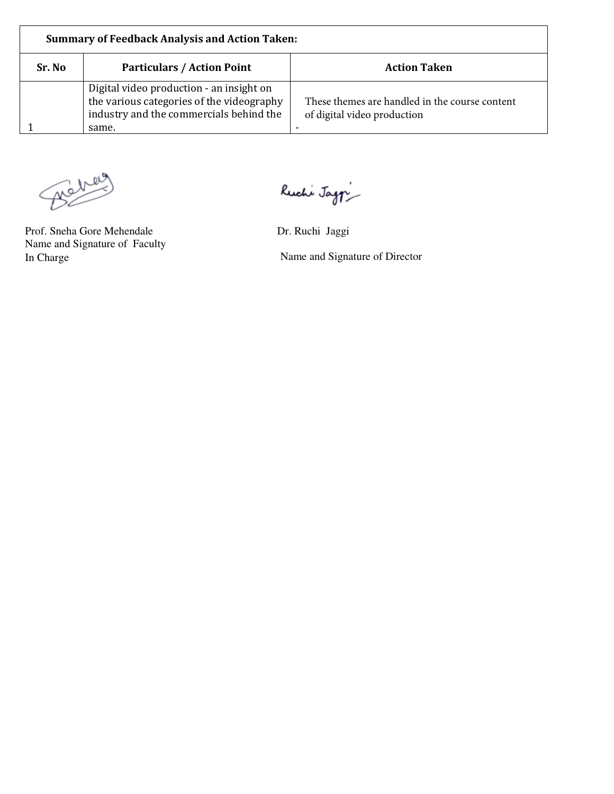| Sr. No | <b>Particulars / Action Point</b>                                                                                                         | <b>Action Taken</b>                                                           |
|--------|-------------------------------------------------------------------------------------------------------------------------------------------|-------------------------------------------------------------------------------|
|        | Digital video production - an insight on<br>the various categories of the videography<br>industry and the commercials behind the<br>same. | These themes are handled in the course content<br>of digital video production |

Bener

Prof. Sneha Gore Mehendale Dr. Ruchi Jaggi Name and Signature of Faculty

Ruchi Jag $\gamma$ 

In Charge Name and Signature of Director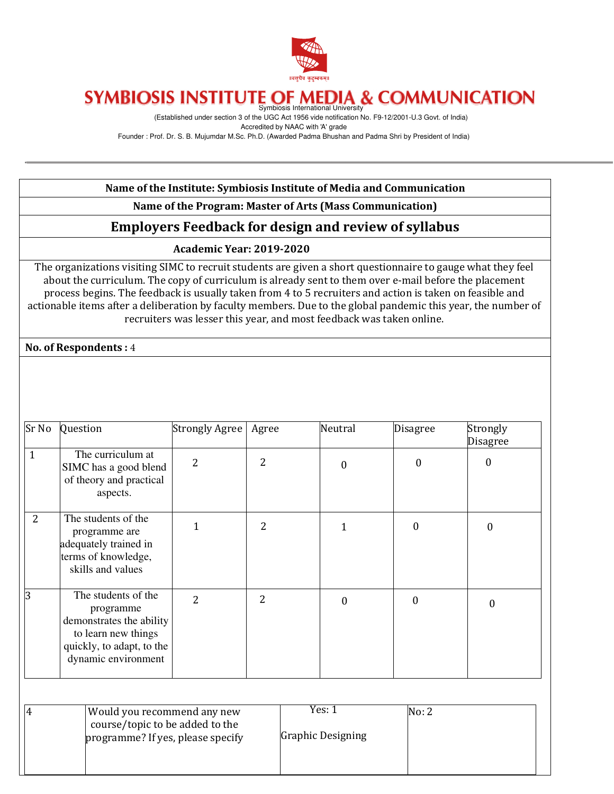

(Established under section 3 of the UGC Act 1956 vide notification No. F9-12/2001-U.3 Govt. of India) Accredited by NAAC with 'A' grade

Founder : Prof. Dr. S. B. Mujumdar M.Sc. Ph.D. (Awarded Padma Bhushan and Padma Shri by President of India)

#### Name of the Institute: Symbiosis Institute of Media and Communication

#### Name of the Program: Master of Arts (Mass Communication)

## Employers Feedback for design and review of syllabus

#### Academic Year: 2019-2020

The organizations visiting SIMC to recruit students are given a short questionnaire to gauge what they feel about the curriculum. The copy of curriculum is already sent to them over e-mail before the placement process begins. The feedback is usually taken from 4 to 5 recruiters and action is taken on feasible and actionable items after a deliberation by faculty members. Due to the global pandemic this year, the number of recruiters was lesser this year, and most feedback was taken online.

No. of Respondents : 4

| Sr No        | Question                                                                                                                                | Strongly Agree | Agree                    | Neutral  | <b>Disagree</b> | Strongly<br><b>Disagree</b> |
|--------------|-----------------------------------------------------------------------------------------------------------------------------------------|----------------|--------------------------|----------|-----------------|-----------------------------|
| $\mathbf{1}$ | The curriculum at<br>SIMC has a good blend<br>of theory and practical<br>aspects.                                                       | 2              | 2                        | $\Omega$ | $\overline{0}$  | $\theta$                    |
| 2            | The students of the<br>programme are<br>adequately trained in<br>terms of knowledge,<br>skills and values                               | 1              | $\overline{\mathcal{L}}$ |          | 0               | $\theta$                    |
| 3            | The students of the<br>programme<br>demonstrates the ability<br>to learn new things<br>quickly, to adapt, to the<br>dynamic environment | 2              | 2                        | $\Omega$ | 0               | 0                           |

| $\overline{A}$ | Would you recommend any new                                          | Yes: 1            | No: 2 |
|----------------|----------------------------------------------------------------------|-------------------|-------|
|                | course/topic to be added to the<br>programme? If yes, please specify | Graphic Designing |       |
|                |                                                                      |                   |       |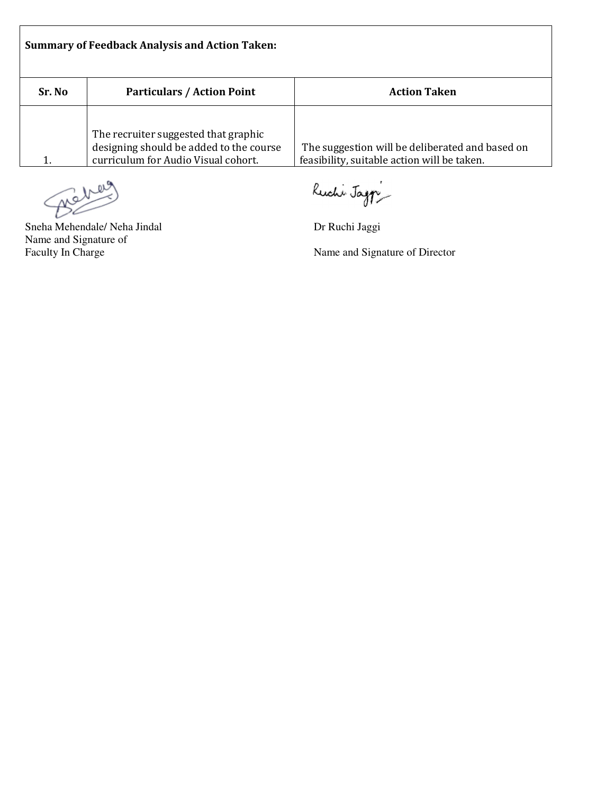|        | <b>Summary of Feedback Analysis and Action Taken:</b>                                                                  |                                                                                                |
|--------|------------------------------------------------------------------------------------------------------------------------|------------------------------------------------------------------------------------------------|
| Sr. No | <b>Particulars / Action Point</b>                                                                                      | <b>Action Taken</b>                                                                            |
|        | The recruiter suggested that graphic<br>designing should be added to the course<br>curriculum for Audio Visual cohort. | The suggestion will be deliberated and based on<br>feasibility, suitable action will be taken. |

Ruchi Jag $\gamma$ <br>Sneha Mehendale/ Neha Jindal Dr Ruchi Jaggi

Г

Name and Signature of

Ruchi Jagp

Name and Signature of Director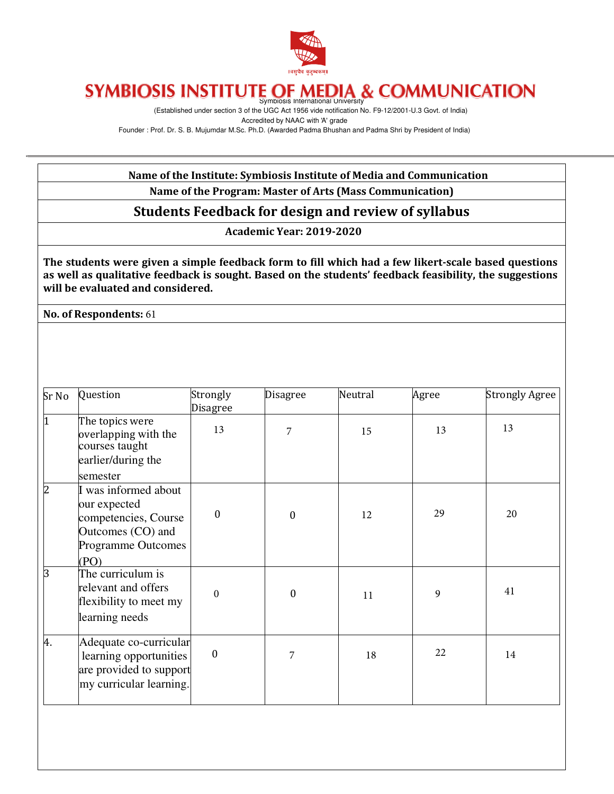

(Established under section 3 of the UGC Act 1956 vide notification No. F9-12/2001-U.3 Govt. of India) Accredited by NAAC with 'A' grade Founder : Prof. Dr. S. B. Mujumdar M.Sc. Ph.D. (Awarded Padma Bhushan and Padma Shri by President of India)

#### Name of the Institute: Symbiosis Institute of Media and Communication Name of the Program: Master of Arts (Mass Communication)

## Students Feedback for design and review of syllabus

Academic Year: 2019-2020

The students were given a simple feedback form to fill which had a few likert-scale based questions as well as qualitative feedback is sought. Based on the students' feedback feasibility, the suggestions will be evaluated and considered.

No. of Respondents: 61

| Sr No          | Question                                                                                                        | Strongly<br><b>Disagree</b> | <b>Disagree</b>  | Neutral | Agree | <b>Strongly Agree</b> |
|----------------|-----------------------------------------------------------------------------------------------------------------|-----------------------------|------------------|---------|-------|-----------------------|
| I1             | The topics were<br>overlapping with the<br>courses taught                                                       | 13                          | 7                | 15      | 13    | 13                    |
|                | earlier/during the<br>semester                                                                                  |                             |                  |         |       |                       |
| $\overline{2}$ | I was informed about<br>our expected<br>competencies, Course<br>Outcomes (CO) and<br>Programme Outcomes<br>(PO) | $\Omega$                    | $\boldsymbol{0}$ | 12      | 29    | 20                    |
| $\mathsf B$    | The curriculum is<br>relevant and offers<br>flexibility to meet my<br>learning needs                            | $\theta$                    | 0                | 11      | 9     | 41                    |
| 4.             | Adequate co-curricular<br>learning opportunities<br>are provided to support<br>my curricular learning.          | $\mathbf{0}$                | 7                | 18      | 22    | 14                    |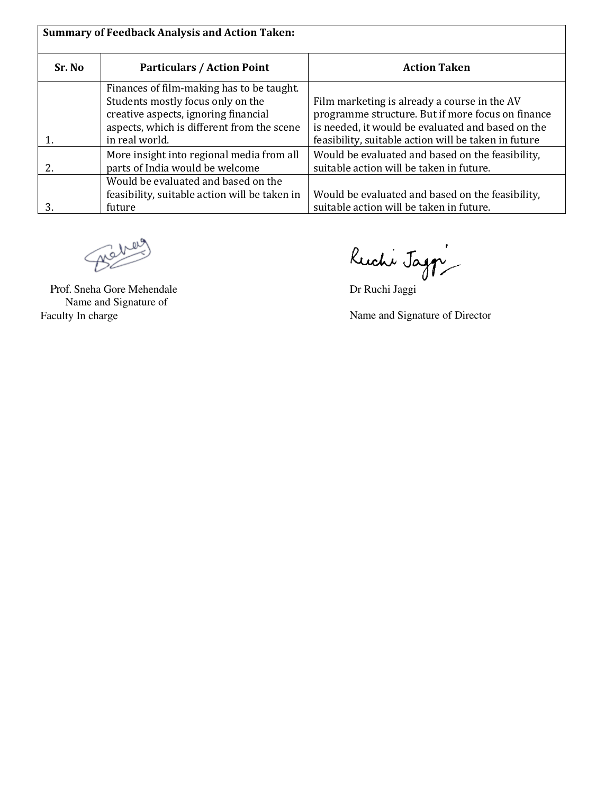|        | <b>Summary of Feedback Analysis and Action Taken:</b> |                                                      |
|--------|-------------------------------------------------------|------------------------------------------------------|
| Sr. No | <b>Particulars / Action Point</b>                     | <b>Action Taken</b>                                  |
|        | Finances of film-making has to be taught.             |                                                      |
|        | Students mostly focus only on the                     | Film marketing is already a course in the AV         |
|        | creative aspects, ignoring financial                  | programme structure. But if more focus on finance    |
|        | aspects, which is different from the scene            | is needed, it would be evaluated and based on the    |
|        | in real world.                                        | feasibility, suitable action will be taken in future |
|        | More insight into regional media from all             | Would be evaluated and based on the feasibility,     |
| 2.     | parts of India would be welcome                       | suitable action will be taken in future.             |
|        | Would be evaluated and based on the                   |                                                      |
|        | feasibility, suitable action will be taken in         | Would be evaluated and based on the feasibility,     |
| 3.     | future                                                | suitable action will be taken in future.             |

Benes

Name and Signature of<br>Faculty In charge

Prof. Sneha Gore Mehendale Dr Ruchi Jaggi

Name and Signature of Director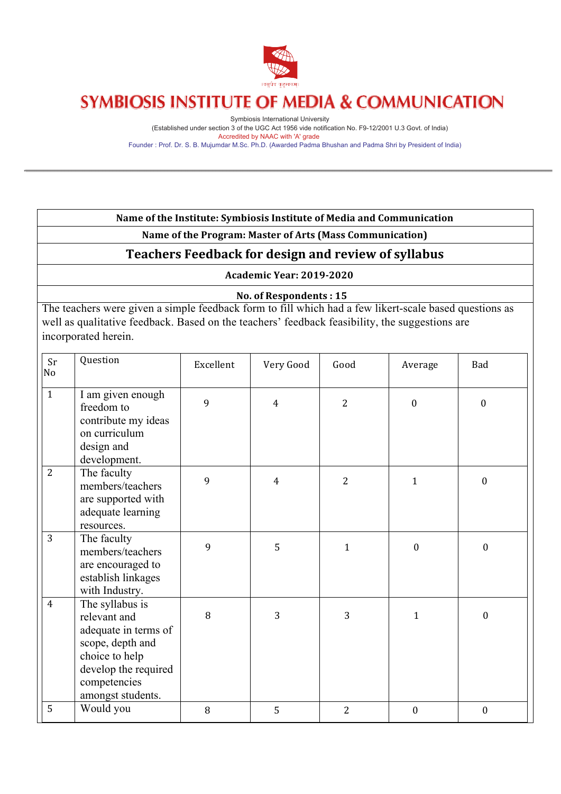

Symbiosis International University (Established under section 3 of the UGC Act 1956 vide notification No. F9-12/2001 U.3 Govt. of India) Accredited by NAAC with 'A' grade Founder : Prof. Dr. S. B. Mujumdar M.Sc. Ph.D. (Awarded Padma Bhushan and Padma Shri by President of India)

#### Name of the Institute: Symbiosis Institute of Media and Communication

Name of the Program: Master of Arts (Mass Communication)

## **Teachers Feedback for design and review of syllabus**

**Academic Year: 2019-2020**

#### **No. of Respondents : 15**

The teachers were given a simple feedback form to fill which had a few likert-scale based questions as well as qualitative feedback. Based on the teachers' feedback feasibility, the suggestions are incorporated herein.

| Sr<br>No       | Question                                                                                                                                                   | Excellent | Very Good      | Good           | Average          | <b>Bad</b>       |
|----------------|------------------------------------------------------------------------------------------------------------------------------------------------------------|-----------|----------------|----------------|------------------|------------------|
| $\mathbf{1}$   | I am given enough<br>freedom to<br>contribute my ideas<br>on curriculum<br>design and<br>development.                                                      | 9         | $\overline{4}$ | $\overline{2}$ | $\boldsymbol{0}$ | $\mathbf{0}$     |
| 2              | The faculty<br>members/teachers<br>are supported with<br>adequate learning<br>resources.                                                                   | 9         | $\overline{4}$ | $\overline{2}$ | $\mathbf{1}$     | $\boldsymbol{0}$ |
| 3              | The faculty<br>members/teachers<br>are encouraged to<br>establish linkages<br>with Industry.                                                               | 9         | 5              | $\mathbf{1}$   | $\mathbf{0}$     | $\boldsymbol{0}$ |
| $\overline{4}$ | The syllabus is<br>relevant and<br>adequate in terms of<br>scope, depth and<br>choice to help<br>develop the required<br>competencies<br>amongst students. | 8         | 3              | 3              | $\mathbf{1}$     | $\boldsymbol{0}$ |
| 5              | Would you                                                                                                                                                  | 8         | 5              | $\overline{2}$ | $\mathbf{0}$     | $\boldsymbol{0}$ |